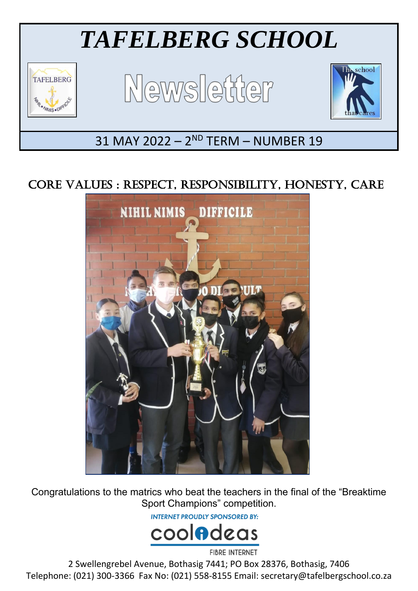

# CORE VALUES : RESPECT, RESPONSIBILITY, HONESTY, CARE



Congratulations to the matrics who beat the teachers in the final of the "Breaktime Sport Champions" competition.

**INTERNET PROUDLY SPONSORED BY:** 



2 Swellengrebel Avenue, Bothasig 7441; PO Box 28376, Bothasig, 7406 Telephone: (021) 300-3366 Fax No: (021) 558-8155 Email: secretary@tafelbergschool.co.za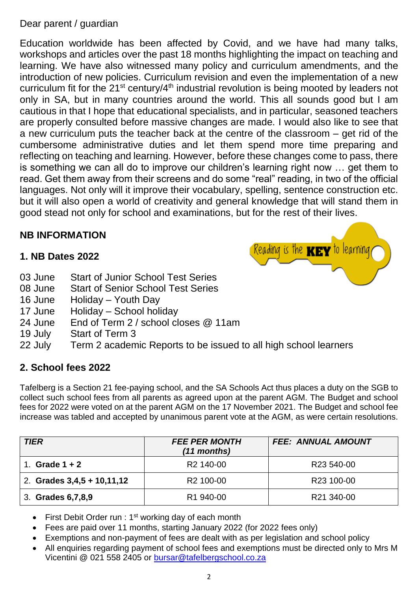## Dear parent / guardian

Education worldwide has been affected by Covid, and we have had many talks, workshops and articles over the past 18 months highlighting the impact on teaching and learning. We have also witnessed many policy and curriculum amendments, and the introduction of new policies. Curriculum revision and even the implementation of a new curriculum fit for the 21<sup>st</sup> century/4<sup>th</sup> industrial revolution is being mooted by leaders not only in SA, but in many countries around the world. This all sounds good but I am cautious in that I hope that educational specialists, and in particular, seasoned teachers are properly consulted before massive changes are made. I would also like to see that a new curriculum puts the teacher back at the centre of the classroom – get rid of the cumbersome administrative duties and let them spend more time preparing and reflecting on teaching and learning. However, before these changes come to pass, there is something we can all do to improve our children's learning right now … get them to read. Get them away from their screens and do some "real" reading, in two of the official languages. Not only will it improve their vocabulary, spelling, sentence construction etc. but it will also open a world of creativity and general knowledge that will stand them in good stead not only for school and examinations, but for the rest of their lives.

## **NB INFORMATION**

## **1. NB Dates 2022**

- 03 June Start of Junior School Test Series
- 08 June Start of Senior School Test Series
- 16 June Holiday Youth Day
- 17 June Holiday School holiday
- 24 June End of Term 2 / school closes @ 11am
- 19 July Start of Term 3
- 22 July Term 2 academic Reports to be issued to all high school learners

## **2. School fees 2022**

Tafelberg is a Section 21 fee-paying school, and the SA Schools Act thus places a duty on the SGB to collect such school fees from all parents as agreed upon at the parent AGM. The Budget and school fees for 2022 were voted on at the parent AGM on the 17 November 2021. The Budget and school fee increase was tabled and accepted by unanimous parent vote at the AGM, as were certain resolutions.

| <b>TIER</b>                  | <b>FEE PER MONTH</b><br>$(11$ months) | <b>FEE: ANNUAL AMOUNT</b> |
|------------------------------|---------------------------------------|---------------------------|
| Grade $1 + 2$                | R <sub>2</sub> 140-00                 | R <sub>23</sub> 540-00    |
| 2. Grades $3,4,5 + 10,11,12$ | R <sub>2</sub> 100-00                 | R <sub>23</sub> 100-00    |
| 3. Grades 6,7,8,9            | R <sub>1</sub> 940-00                 | R21 340-00                |

- First Debit Order run :  $1<sup>st</sup>$  working day of each month
- Fees are paid over 11 months, starting January 2022 (for 2022 fees only)
- Exemptions and non-payment of fees are dealt with as per legislation and school policy
- All enquiries regarding payment of school fees and exemptions must be directed only to Mrs M Vicentini @ 021 558 2405 or [bursar@tafelbergschool.co.za](mailto:bursar@tafelbergschool.co.za)



Reading is the  $\mathbf{K}\mathbf{E}\mathbf{Y}$  to learning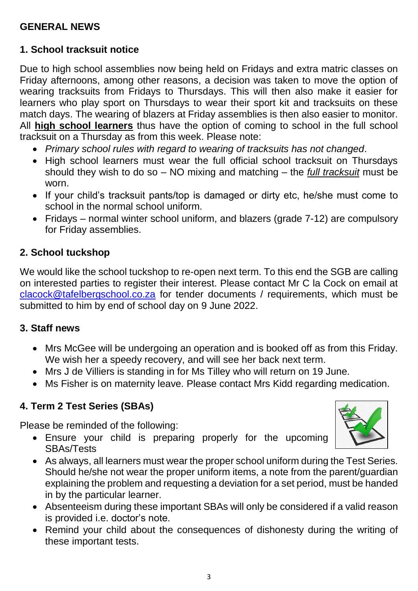## **GENERAL NEWS**

## **1. School tracksuit notice**

Due to high school assemblies now being held on Fridays and extra matric classes on Friday afternoons, among other reasons, a decision was taken to move the option of wearing tracksuits from Fridays to Thursdays. This will then also make it easier for learners who play sport on Thursdays to wear their sport kit and tracksuits on these match days. The wearing of blazers at Friday assemblies is then also easier to monitor. All **high school learners** thus have the option of coming to school in the full school tracksuit on a Thursday as from this week. Please note:

- *Primary school rules with regard to wearing of tracksuits has not changed*.
- High school learners must wear the full official school tracksuit on Thursdays should they wish to do so – NO mixing and matching – the *full tracksuit* must be worn.
- If your child's tracksuit pants/top is damaged or dirty etc, he/she must come to school in the normal school uniform.
- Fridays normal winter school uniform, and blazers (grade 7-12) are compulsory for Friday assemblies.

## **2. School tuckshop**

We would like the school tuckshop to re-open next term. To this end the SGB are calling on interested parties to register their interest. Please contact Mr C la Cock on email at [clacock@tafelbergschool.co.za](mailto:clacock@tafelbergschool.co.za) for tender documents / requirements, which must be submitted to him by end of school day on 9 June 2022.

#### **3. Staff news**

- Mrs McGee will be undergoing an operation and is booked off as from this Friday. We wish her a speedy recovery, and will see her back next term.
- Mrs J de Villiers is standing in for Ms Tilley who will return on 19 June.
- Ms Fisher is on maternity leave. Please contact Mrs Kidd regarding medication.

## **4. Term 2 Test Series (SBAs)**

Please be reminded of the following:

- Ensure your child is preparing properly for the upcoming SBAs/Tests
- As always, all learners must wear the proper school uniform during the Test Series. Should he/she not wear the proper uniform items, a note from the parent/guardian explaining the problem and requesting a deviation for a set period, must be handed in by the particular learner.
- Absenteeism during these important SBAs will only be considered if a valid reason is provided i.e. doctor's note.
- Remind your child about the consequences of dishonesty during the writing of these important tests.

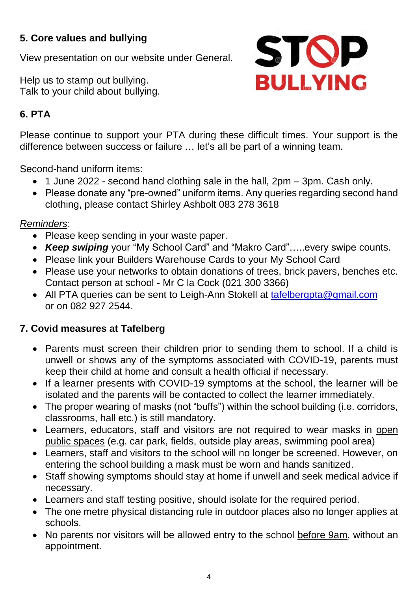## **5. Core values and bullying**

View presentation on our website under General.

Help us to stamp out bullying. Talk to your child about bullying.



## **6. PTA**

Please continue to support your PTA during these difficult times. Your support is the difference between success or failure … let's all be part of a winning team.

Second-hand uniform items:

- 1 June 2022 second hand clothing sale in the hall, 2pm 3pm. Cash only.
- Please donate any "pre-owned" uniform items. Any queries regarding second hand clothing, please contact Shirley Ashbolt 083 278 3618

## *Reminders*:

- Please keep sending in your waste paper.
- *Keep swiping* your "My School Card" and "Makro Card"…..every swipe counts.
- Please link your Builders Warehouse Cards to your My School Card
- Please use your networks to obtain donations of trees, brick pavers, benches etc. Contact person at school - Mr C la Cock (021 300 3366)
- All PTA queries can be sent to Leigh-Ann Stokell at [tafelbergpta@gmail.com](mailto:tafelbergpta@gmail.com) or on 082 927 2544.

## **7. Covid measures at Tafelberg**

- Parents must screen their children prior to sending them to school. If a child is unwell or shows any of the symptoms associated with COVID-19, parents must keep their child at home and consult a health official if necessary.
- If a learner presents with COVID-19 symptoms at the school, the learner will be isolated and the parents will be contacted to collect the learner immediately.
- The proper wearing of masks (not "buffs") within the school building (i.e. corridors, classrooms, hall etc.) is still mandatory.
- Learners, educators, staff and visitors are not required to wear masks in open public spaces (e.g. car park, fields, outside play areas, swimming pool area)
- Learners, staff and visitors to the school will no longer be screened. However, on entering the school building a mask must be worn and hands sanitized.
- Staff showing symptoms should stay at home if unwell and seek medical advice if necessary.
- Learners and staff testing positive, should isolate for the required period.
- The one metre physical distancing rule in outdoor places also no longer applies at schools.
- No parents nor visitors will be allowed entry to the school before 9am, without an appointment.